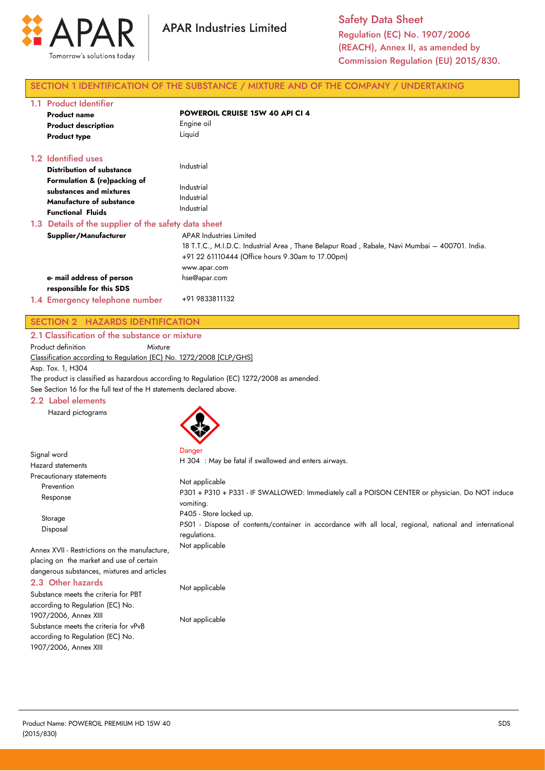

# SECTION 1 IDENTIFICATION OF THE SUBSTANCE / MIXTURE AND OF THE COMPANY / UNDERTAKING

| 1.1 Product Identifier<br><b>Product name</b><br><b>Product description</b><br><b>Product type</b>                                                                                | <b>POWEROIL CRUISE 15W 40 API CI 4</b><br>Engine oil<br>Liquid                                                                                                                                      |
|-----------------------------------------------------------------------------------------------------------------------------------------------------------------------------------|-----------------------------------------------------------------------------------------------------------------------------------------------------------------------------------------------------|
| 1.2 Identified uses<br><b>Distribution of substance</b><br>Formulation & (re)packing of<br>substances and mixtures<br><b>Manufacture of substance</b><br><b>Functional Fluids</b> | Industrial<br>Industrial<br>Industrial<br>Industrial                                                                                                                                                |
| 1.3 Details of the supplier of the safety data sheet                                                                                                                              |                                                                                                                                                                                                     |
| Supplier/Manufacturer                                                                                                                                                             | <b>APAR Industries Limited</b><br>18 T.T.C., M.I.D.C. Industrial Area, Thane Belapur Road, Rabale, Navi Mumbai – 400701. India.<br>+91 22 61110444 (Office hours 9.30am to 17.00pm)<br>www.apar.com |
| e- mail address of person                                                                                                                                                         | hse@apar.com                                                                                                                                                                                        |
| responsible for this SDS                                                                                                                                                          |                                                                                                                                                                                                     |
| 1.4 Emergency telephone number                                                                                                                                                    | +91 9833811132                                                                                                                                                                                      |

# SECTION 2 HAZARDS IDENTIFICATION

2.1 Classification of the substance or mixture

Product definition Mixture

Classification according to Regulation (EC) No. 1272/2008 [CLP/GHS]

Asp. Tox. 1, H304

Signal word

The product is classified as hazardous according to Regulation (EC) 1272/2008 as amended.

See Section 16 for the full text of the H statements declared above.

#### 2.2 Label elements

Hazard pictograms



Danger

H 304 : May be fatal if swallowed and enters airways.

| <b>Hazard statements</b>                                                                                                                 | H SU4 . May be failed if swallowed and emers all ways.                                                                                             |
|------------------------------------------------------------------------------------------------------------------------------------------|----------------------------------------------------------------------------------------------------------------------------------------------------|
| Precautionary statements<br>Prevention<br>Response                                                                                       | Not applicable<br>P301 + P310 + P331 - IF SWALLOWED: Immediately call a POISON CENTER or physician. Do NOT induce<br>vomiting.                     |
| Storage<br>Disposal                                                                                                                      | P405 - Store locked up.<br>P501 - Dispose of contents/container in accordance with all local, regional, national and international<br>regulations. |
| Annex XVII - Restrictions on the manufacture,<br>placing on the market and use of certain<br>dangerous substances, mixtures and articles | Not applicable                                                                                                                                     |
| 2.3 Other hazards<br>Substance meets the criteria for PBT                                                                                | Not applicable                                                                                                                                     |

according to Regulation (EC) No. 1907/2006, Annex XIII Substance meets the criteria for vPvB according to Regulation (EC) No. 1907/2006, Annex XIII

Not applicable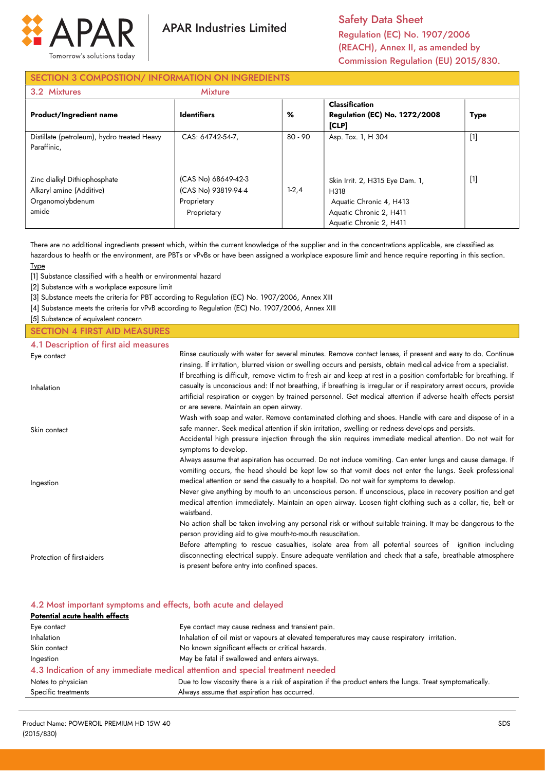

**APAR Industries Limited** 

Safety Data Sheet Regulation (EC) No. 1907/2006 (REACH), Annex II, as amended by Commission Regulation (EU) 2015/830.

# SECTION 3 COMPOSTION/ INFORMATION ON INGREDIENTS

| 3.2 Mixtures                                                                          | <b>Mixture</b>                                                           |         |                                                                                                                          |             |
|---------------------------------------------------------------------------------------|--------------------------------------------------------------------------|---------|--------------------------------------------------------------------------------------------------------------------------|-------------|
| <b>Product/Ingredient name</b>                                                        | <b>Identifiers</b>                                                       | %       | <b>Classification</b><br><b>Regulation (EC) No. 1272/2008</b><br>[CLP]                                                   | <b>Type</b> |
| Distillate (petroleum), hydro treated Heavy<br>Paraffinic,                            | CAS: 64742-54-7.                                                         | 80 - 90 | Asp. Tox. 1, H 304                                                                                                       | $[1]$       |
| Zinc dialkyl Dithiophosphate<br>Alkaryl amine (Additive)<br>Organomolybdenum<br>amide | (CAS No) 68649-42-3<br>(CAS No) 93819-94-4<br>Proprietary<br>Proprietary | $1-2,4$ | Skin Irrit. 2, H315 Eye Dam. 1,<br>H318<br>Aquatic Chronic 4, H413<br>Aquatic Chronic 2, H411<br>Aquatic Chronic 2, H411 | $[1]$       |

There are no additional ingredients present which, within the current knowledge of the supplier and in the concentrations applicable, are classified as hazardous to health or the environment, are PBTs or vPvBs or have been assigned a workplace exposure limit and hence require reporting in this section. Type

[1] Substance classified with a health or environmental hazard

[2] Substance with a workplace exposure limit

[3] Substance meets the criteria for PBT according to Regulation (EC) No. 1907/2006, Annex XIII

[4] Substance meets the criteria for vPvB according to Regulation (EC) No. 1907/2006, Annex XIII

[5] Substance of equivalent concern

#### SECTION 4 FIRST AID MEASURES

#### 4.1 Description of first aid measures

| Eye contact                | Rinse cautiously with water for several minutes. Remove contact lenses, if present and easy to do. Continue<br>rinsing. If irritation, blurred vision or swelling occurs and persists, obtain medical advice from a specialist.                                                                                                                                                                      |
|----------------------------|------------------------------------------------------------------------------------------------------------------------------------------------------------------------------------------------------------------------------------------------------------------------------------------------------------------------------------------------------------------------------------------------------|
| Inhalation                 | If breathing is difficult, remove victim to fresh air and keep at rest in a position comfortable for breathing. If<br>casualty is unconscious and: If not breathing, if breathing is irregular or if respiratory arrest occurs, provide<br>artificial respiration or oxygen by trained personnel. Get medical attention if adverse health effects persist<br>or are severe. Maintain an open airway. |
| Skin contact               | Wash with soap and water. Remove contaminated clothing and shoes. Handle with care and dispose of in a<br>safe manner. Seek medical attention if skin irritation, swelling or redness develops and persists.                                                                                                                                                                                         |
|                            | Accidental high pressure injection through the skin requires immediate medical attention. Do not wait for<br>symptoms to develop.                                                                                                                                                                                                                                                                    |
| Ingestion                  | Always assume that aspiration has occurred. Do not induce vomiting. Can enter lungs and cause damage. If<br>vomiting occurs, the head should be kept low so that vomit does not enter the lungs. Seek professional<br>medical attention or send the casualty to a hospital. Do not wait for symptoms to develop.                                                                                     |
|                            | Never give anything by mouth to an unconscious person. If unconscious, place in recovery position and get<br>medical attention immediately. Maintain an open airway. Loosen tight clothing such as a collar, tie, belt or<br>waistband.                                                                                                                                                              |
|                            | No action shall be taken involving any personal risk or without suitable training. It may be dangerous to the<br>person providing aid to give mouth-to-mouth resuscitation.                                                                                                                                                                                                                          |
| Protection of first-aiders | Before attempting to rescue casualties, isolate area from all potential sources of ignition including<br>disconnecting electrical supply. Ensure adequate ventilation and check that a safe, breathable atmosphere                                                                                                                                                                                   |
|                            | is present before entry into confined spaces.                                                                                                                                                                                                                                                                                                                                                        |

#### 4.2 Most important symptoms and effects, both acute and delayed

| Potential acute health effects |                                                                                                            |  |  |
|--------------------------------|------------------------------------------------------------------------------------------------------------|--|--|
| Eye contact                    | Eye contact may cause redness and transient pain.                                                          |  |  |
| <b>Inhalation</b>              | Inhalation of oil mist or vapours at elevated temperatures may cause respiratory irritation.               |  |  |
| Skin contact                   | No known significant effects or critical hazards.                                                          |  |  |
| Ingestion                      | May be fatal if swallowed and enters airways.                                                              |  |  |
|                                | 4.3 Indication of any immediate medical attention and special treatment needed                             |  |  |
| Notes to physician             | Due to low viscosity there is a risk of aspiration if the product enters the lungs. Treat symptomatically. |  |  |
| Specific treatments            | Always assume that aspiration has occurred.                                                                |  |  |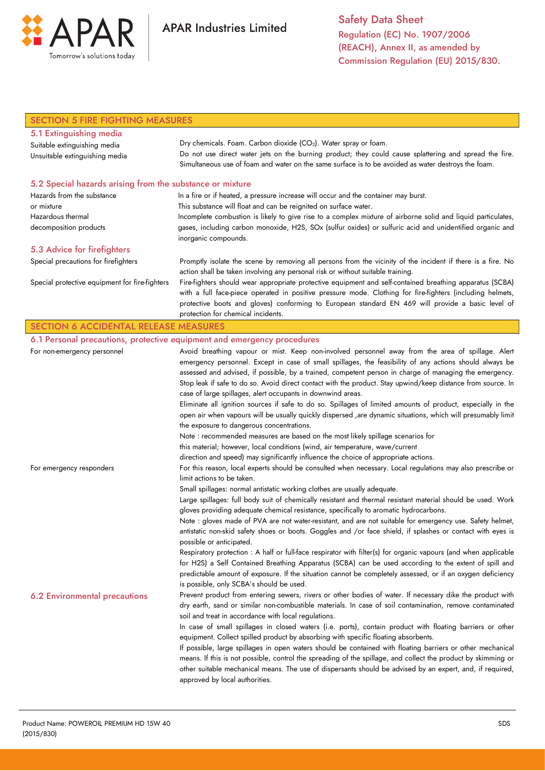

| <b>SECTION 5 FIRE FIGHTING MEASURES</b>                                                   |                                                                                                                                                                                                                                                                                                                                                                                                                                                                                                                                                                                                                                                                                                                                                                                                                                                                       |
|-------------------------------------------------------------------------------------------|-----------------------------------------------------------------------------------------------------------------------------------------------------------------------------------------------------------------------------------------------------------------------------------------------------------------------------------------------------------------------------------------------------------------------------------------------------------------------------------------------------------------------------------------------------------------------------------------------------------------------------------------------------------------------------------------------------------------------------------------------------------------------------------------------------------------------------------------------------------------------|
| 5.1 Extinguishing media<br>Suitable extinguishing media<br>Unsuitable extinguishing media | Dry chemicals. Foam. Carbon dioxide (CO <sub>2</sub> ). Water spray or foam.<br>Do not use direct water jets on the burning product; they could cause splattering and spread the fire.                                                                                                                                                                                                                                                                                                                                                                                                                                                                                                                                                                                                                                                                                |
|                                                                                           | Simultaneous use of foam and water on the same surface is to be avoided as water destroys the foam.                                                                                                                                                                                                                                                                                                                                                                                                                                                                                                                                                                                                                                                                                                                                                                   |
| 5.2 Special hazards arising from the substance or mixture                                 |                                                                                                                                                                                                                                                                                                                                                                                                                                                                                                                                                                                                                                                                                                                                                                                                                                                                       |
| Hazards from the substance                                                                | In a fire or if heated, a pressure increase will occur and the container may burst.                                                                                                                                                                                                                                                                                                                                                                                                                                                                                                                                                                                                                                                                                                                                                                                   |
| This substance will float and can be reignited on surface water.<br>or mixture            |                                                                                                                                                                                                                                                                                                                                                                                                                                                                                                                                                                                                                                                                                                                                                                                                                                                                       |
| Hazardous thermal<br>decomposition products                                               | Incomplete combustion is likely to give rise to a complex mixture of airborne solid and liquid particulates,<br>gases, including carbon monoxide, H2S, SOx (sulfur oxides) or sulfuric acid and unidentified organic and<br>inorganic compounds.                                                                                                                                                                                                                                                                                                                                                                                                                                                                                                                                                                                                                      |
| 5.3 Advice for firefighters                                                               |                                                                                                                                                                                                                                                                                                                                                                                                                                                                                                                                                                                                                                                                                                                                                                                                                                                                       |
| Special precautions for firefighters                                                      | Promptly isolate the scene by removing all persons from the vicinity of the incident if there is a fire. No<br>action shall be taken involving any personal risk or without suitable training.                                                                                                                                                                                                                                                                                                                                                                                                                                                                                                                                                                                                                                                                        |
| Special protective equipment for fire-fighters                                            | Fire-fighters should wear appropriate protective equipment and self-contained breathing apparatus (SCBA)<br>with a full face-piece operated in positive pressure mode. Clothing for fire-fighters (including helmets,<br>protective boots and gloves) conforming to European standard EN 469 will provide a basic level of                                                                                                                                                                                                                                                                                                                                                                                                                                                                                                                                            |
|                                                                                           | protection for chemical incidents.                                                                                                                                                                                                                                                                                                                                                                                                                                                                                                                                                                                                                                                                                                                                                                                                                                    |
| <b>SECTION 6 ACCIDENTAL RELEASE MEASURES</b>                                              |                                                                                                                                                                                                                                                                                                                                                                                                                                                                                                                                                                                                                                                                                                                                                                                                                                                                       |
|                                                                                           | 6.1 Personal precautions, protective equipment and emergency procedures                                                                                                                                                                                                                                                                                                                                                                                                                                                                                                                                                                                                                                                                                                                                                                                               |
| For non-emergency personnel                                                               | Avoid breathing vapour or mist. Keep non-involved personnel away from the area of spillage. Alert<br>emergency personnel. Except in case of small spillages, the feasibility of any actions should always be<br>assessed and advised, if possible, by a trained, competent person in charge of managing the emergency.<br>Stop leak if safe to do so. Avoid direct contact with the product. Stay upwind/keep distance from source. In<br>case of large spillages, alert occupants in downwind areas.<br>Eliminate all ignition sources if safe to do so. Spillages of limited amounts of product, especially in the<br>open air when vapours will be usually quickly dispersed , are dynamic situations, which will presumably limit<br>the exposure to dangerous concentrations.<br>Note : recommended measures are based on the most likely spillage scenarios for |
|                                                                                           | this material; however, local conditions (wind, air temperature, wave/current                                                                                                                                                                                                                                                                                                                                                                                                                                                                                                                                                                                                                                                                                                                                                                                         |
| For emergency responders                                                                  | direction and speed) may significantly influence the choice of appropriate actions.<br>For this reason, local experts should be consulted when necessary. Local regulations may also prescribe or<br>limit actions to be taken.<br>Small spillages: normal antistatic working clothes are usually adequate.                                                                                                                                                                                                                                                                                                                                                                                                                                                                                                                                                           |
|                                                                                           | Large spillages: full body suit of chemically resistant and thermal resistant material should be used. Work                                                                                                                                                                                                                                                                                                                                                                                                                                                                                                                                                                                                                                                                                                                                                           |
|                                                                                           | gloves providing adequate chemical resistance, specifically to aromatic hydrocarbons.                                                                                                                                                                                                                                                                                                                                                                                                                                                                                                                                                                                                                                                                                                                                                                                 |
|                                                                                           | Note : gloves made of PVA are not water-resistant, and are not suitable for emergency use. Safety helmet,<br>antistatic non-skid safety shoes or boots. Goggles and /or face shield, if splashes or contact with eyes is<br>possible or anticipated.                                                                                                                                                                                                                                                                                                                                                                                                                                                                                                                                                                                                                  |
|                                                                                           | Respiratory protection: A half or full-face respirator with filter(s) for organic vapours (and when applicable<br>for H2S) a Self Contained Breathing Apparatus (SCBA) can be used according to the extent of spill and<br>predictable amount of exposure. If the situation cannot be completely assessed, or if an oxygen deficiency<br>is possible, only SCBA's should be used.                                                                                                                                                                                                                                                                                                                                                                                                                                                                                     |
| <b>6.2 Environmental precautions</b>                                                      | Prevent product from entering sewers, rivers or other bodies of water. If necessary dike the product with<br>dry earth, sand or similar non-combustible materials. In case of soil contamination, remove contaminated<br>soil and treat in accordance with local regulations.<br>In case of small spillages in closed waters (i.e. ports), contain product with floating barriers or other                                                                                                                                                                                                                                                                                                                                                                                                                                                                            |
|                                                                                           | equipment. Collect spilled product by absorbing with specific floating absorbents.                                                                                                                                                                                                                                                                                                                                                                                                                                                                                                                                                                                                                                                                                                                                                                                    |
|                                                                                           | If possible, large spillages in open waters should be contained with floating barriers or other mechanical<br>means. If this is not possible, control the spreading of the spillage, and collect the product by skimming or<br>other suitable mechanical means. The use of dispersants should be advised by an expert, and, if required,<br>approved by local authorities.                                                                                                                                                                                                                                                                                                                                                                                                                                                                                            |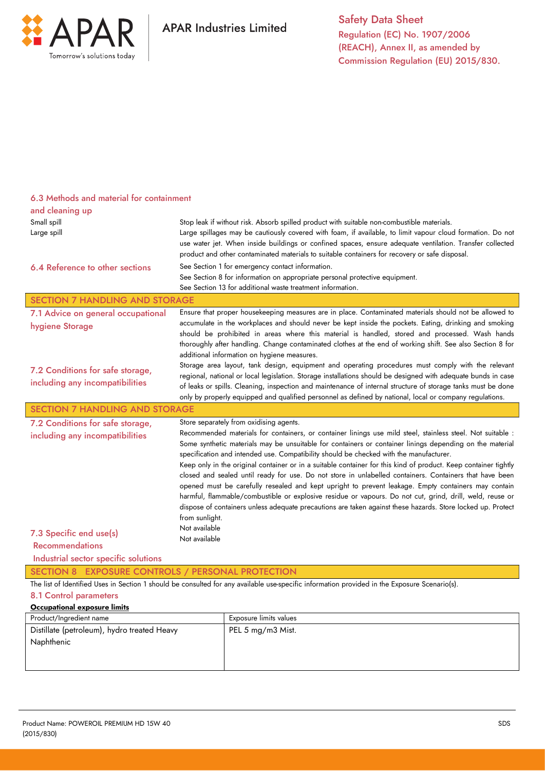

| 6.3 Methods and material for containment                                                                                 |                                                                                                                                                                                                                                                                                                                                                                                                                                                                                                                                                                                                                                                                                                                                                                                                                                                                                                                                                                                 |  |  |
|--------------------------------------------------------------------------------------------------------------------------|---------------------------------------------------------------------------------------------------------------------------------------------------------------------------------------------------------------------------------------------------------------------------------------------------------------------------------------------------------------------------------------------------------------------------------------------------------------------------------------------------------------------------------------------------------------------------------------------------------------------------------------------------------------------------------------------------------------------------------------------------------------------------------------------------------------------------------------------------------------------------------------------------------------------------------------------------------------------------------|--|--|
| and cleaning up                                                                                                          |                                                                                                                                                                                                                                                                                                                                                                                                                                                                                                                                                                                                                                                                                                                                                                                                                                                                                                                                                                                 |  |  |
| Small spill                                                                                                              | Stop leak if without risk. Absorb spilled product with suitable non-combustible materials.                                                                                                                                                                                                                                                                                                                                                                                                                                                                                                                                                                                                                                                                                                                                                                                                                                                                                      |  |  |
| Large spill                                                                                                              | Large spillages may be cautiously covered with foam, if available, to limit vapour cloud formation. Do not<br>use water jet. When inside buildings or confined spaces, ensure adequate ventilation. Transfer collected<br>product and other contaminated materials to suitable containers for recovery or safe disposal.                                                                                                                                                                                                                                                                                                                                                                                                                                                                                                                                                                                                                                                        |  |  |
| 6.4 Reference to other sections                                                                                          | See Section 1 for emergency contact information.<br>See Section 8 for information on appropriate personal protective equipment.<br>See Section 13 for additional waste treatment information.                                                                                                                                                                                                                                                                                                                                                                                                                                                                                                                                                                                                                                                                                                                                                                                   |  |  |
| <b>SECTION 7 HANDLING AND STORAGE</b>                                                                                    |                                                                                                                                                                                                                                                                                                                                                                                                                                                                                                                                                                                                                                                                                                                                                                                                                                                                                                                                                                                 |  |  |
| 7.1 Advice on general occupational<br>hygiene Storage                                                                    | Ensure that proper housekeeping measures are in place. Contaminated materials should not be allowed to<br>accumulate in the workplaces and should never be kept inside the pockets. Eating, drinking and smoking<br>should be prohibited in areas where this material is handled, stored and processed. Wash hands<br>thoroughly after handling. Change contaminated clothes at the end of working shift. See also Section 8 for<br>additional information on hygiene measures.                                                                                                                                                                                                                                                                                                                                                                                                                                                                                                 |  |  |
| 7.2 Conditions for safe storage,<br>including any incompatibilities                                                      | Storage area layout, tank design, equipment and operating procedures must comply with the relevant<br>regional, national or local legislation. Storage installations should be designed with adequate bunds in case<br>of leaks or spills. Cleaning, inspection and maintenance of internal structure of storage tanks must be done<br>only by properly equipped and qualified personnel as defined by national, local or company regulations.                                                                                                                                                                                                                                                                                                                                                                                                                                                                                                                                  |  |  |
| <b>SECTION 7 HANDLING AND STORAGE</b>                                                                                    |                                                                                                                                                                                                                                                                                                                                                                                                                                                                                                                                                                                                                                                                                                                                                                                                                                                                                                                                                                                 |  |  |
| 7.2 Conditions for safe storage,<br>including any incompatibilities<br>7.3 Specific end use(s)<br><b>Recommendations</b> | Store separately from oxidising agents.<br>Recommended materials for containers, or container linings use mild steel, stainless steel. Not suitable :<br>Some synthetic materials may be unsuitable for containers or container linings depending on the material<br>specification and intended use. Compatibility should be checked with the manufacturer.<br>Keep only in the original container or in a suitable container for this kind of product. Keep container tightly<br>closed and sealed until ready for use. Do not store in unlabelled containers. Containers that have been<br>opened must be carefully resealed and kept upright to prevent leakage. Empty containers may contain<br>harmful, flammable/combustible or explosive residue or vapours. Do not cut, grind, drill, weld, reuse or<br>dispose of containers unless adequate precautions are taken against these hazards. Store locked up. Protect<br>from sunlight.<br>Not available<br>Not available |  |  |
| Industrial sector specific solutions                                                                                     |                                                                                                                                                                                                                                                                                                                                                                                                                                                                                                                                                                                                                                                                                                                                                                                                                                                                                                                                                                                 |  |  |
| SECTION 8 EXPOSURE CONTROLS / PERSONAL PROTECTION                                                                        |                                                                                                                                                                                                                                                                                                                                                                                                                                                                                                                                                                                                                                                                                                                                                                                                                                                                                                                                                                                 |  |  |
| 8.1 Control parameters                                                                                                   | The list of Identified Uses in Section 1 should be consulted for any available use-specific information provided in the Exposure Scenario(s).                                                                                                                                                                                                                                                                                                                                                                                                                                                                                                                                                                                                                                                                                                                                                                                                                                   |  |  |
| <b>Occupational exposure limits</b>                                                                                      |                                                                                                                                                                                                                                                                                                                                                                                                                                                                                                                                                                                                                                                                                                                                                                                                                                                                                                                                                                                 |  |  |
|                                                                                                                          |                                                                                                                                                                                                                                                                                                                                                                                                                                                                                                                                                                                                                                                                                                                                                                                                                                                                                                                                                                                 |  |  |

| Product/Ingredient name                     | Exposure limits values |
|---------------------------------------------|------------------------|
| Distillate (petroleum), hydro treated Heavy | PEL 5 mg/m3 Mist.      |
| Naphthenic                                  |                        |
|                                             |                        |
|                                             |                        |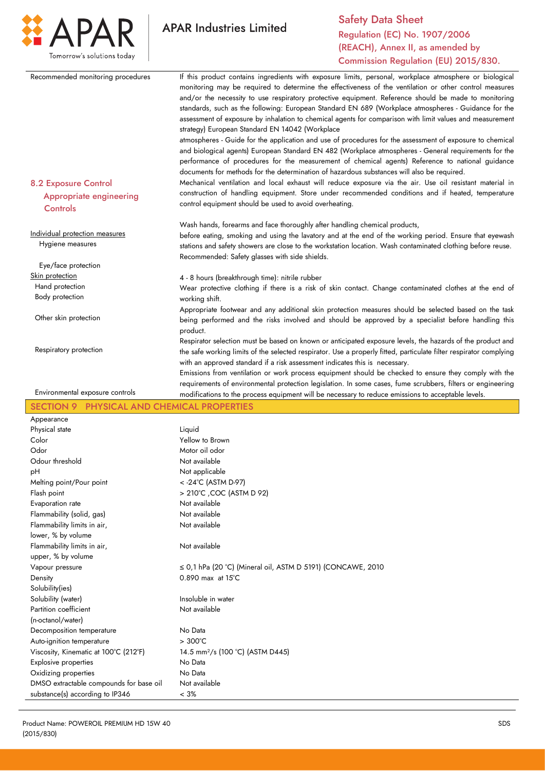

|                                                                           | <b>Commission Regulation (EU) 2015/830.</b>                                                                                                                                                                                                                                                                                                                                                                                       |
|---------------------------------------------------------------------------|-----------------------------------------------------------------------------------------------------------------------------------------------------------------------------------------------------------------------------------------------------------------------------------------------------------------------------------------------------------------------------------------------------------------------------------|
| Recommended monitoring procedures                                         | If this product contains ingredients with exposure limits, personal, workplace atmosphere or biological<br>monitoring may be required to determine the effectiveness of the ventilation or other control measures<br>and/or the necessity to use respiratory protective equipment. Reference should be made to monitoring<br>standards, such as the following: European Standard EN 689 (Workplace atmospheres - Guidance for the |
|                                                                           | assessment of exposure by inhalation to chemical agents for comparison with limit values and measurement<br>strategy) European Standard EN 14042 (Workplace<br>atmospheres - Guide for the application and use of procedures for the assessment of exposure to chemical<br>and biological agents) European Standard EN 482 (Workplace atmospheres - General requirements for the                                                  |
|                                                                           | performance of procedures for the measurement of chemical agents) Reference to national guidance                                                                                                                                                                                                                                                                                                                                  |
| <b>8.2 Exposure Control</b><br><b>Appropriate engineering</b><br>Controls | documents for methods for the determination of hazardous substances will also be required.<br>Mechanical ventilation and local exhaust will reduce exposure via the air. Use oil resistant material in<br>construction of handling equipment. Store under recommended conditions and if heated, temperature<br>control equipment should be used to avoid overheating.                                                             |
|                                                                           | Wash hands, forearms and face thoroughly after handling chemical products,                                                                                                                                                                                                                                                                                                                                                        |
| Individual protection measures<br>Hygiene measures                        | before eating, smoking and using the lavatory and at the end of the working period. Ensure that eyewash<br>stations and safety showers are close to the workstation location. Wash contaminated clothing before reuse.<br>Recommended: Safety glasses with side shields.                                                                                                                                                          |
| Eye/face protection                                                       |                                                                                                                                                                                                                                                                                                                                                                                                                                   |
| Skin protection                                                           | 4 - 8 hours (breakthrough time): nitrile rubber                                                                                                                                                                                                                                                                                                                                                                                   |
| Hand protection                                                           | Wear protective clothing if there is a risk of skin contact. Change contaminated clothes at the end of                                                                                                                                                                                                                                                                                                                            |
| Body protection                                                           | working shift.                                                                                                                                                                                                                                                                                                                                                                                                                    |
| Other skin protection                                                     | Appropriate footwear and any additional skin protection measures should be selected based on the task<br>being performed and the risks involved and should be approved by a specialist before handling this<br>product.                                                                                                                                                                                                           |
| Respiratory protection                                                    | Respirator selection must be based on known or anticipated exposure levels, the hazards of the product and<br>the safe working limits of the selected respirator. Use a properly fitted, particulate filter respirator complying<br>with an approved standard if a risk assessment indicates this is necessary.                                                                                                                   |
|                                                                           | Emissions from ventilation or work process equipment should be checked to ensure they comply with the                                                                                                                                                                                                                                                                                                                             |
| Environmental exposure controls                                           | requirements of environmental protection legislation. In some cases, fume scrubbers, filters or engineering<br>modifications to the process equipment will be necessary to reduce emissions to acceptable levels.                                                                                                                                                                                                                 |
|                                                                           |                                                                                                                                                                                                                                                                                                                                                                                                                                   |
| PHYSICAL AND CHEMICAL PROPERTIES<br><b>SECTION 9</b>                      |                                                                                                                                                                                                                                                                                                                                                                                                                                   |
| Appearance                                                                |                                                                                                                                                                                                                                                                                                                                                                                                                                   |
| Physical state                                                            | Liquid<br>Yellow to Brown                                                                                                                                                                                                                                                                                                                                                                                                         |
| Color<br>Odor                                                             | Motor oil odor                                                                                                                                                                                                                                                                                                                                                                                                                    |
| Odour threshold                                                           | Not available                                                                                                                                                                                                                                                                                                                                                                                                                     |
| рH                                                                        | Not applicable                                                                                                                                                                                                                                                                                                                                                                                                                    |
| Melting point/Pour point                                                  | < - 24°C (ASTM D-97)                                                                                                                                                                                                                                                                                                                                                                                                              |
| Flash point                                                               | > 210°C , COC (ASTM D 92)                                                                                                                                                                                                                                                                                                                                                                                                         |
| Evaporation rate                                                          | Not available                                                                                                                                                                                                                                                                                                                                                                                                                     |
| Flammability (solid, gas)                                                 | Not available                                                                                                                                                                                                                                                                                                                                                                                                                     |
| Flammability limits in air,                                               | Not available                                                                                                                                                                                                                                                                                                                                                                                                                     |
| lower, % by volume                                                        |                                                                                                                                                                                                                                                                                                                                                                                                                                   |
| Flammability limits in air,                                               | Not available                                                                                                                                                                                                                                                                                                                                                                                                                     |
| upper, % by volume                                                        |                                                                                                                                                                                                                                                                                                                                                                                                                                   |
| Vapour pressure                                                           | $\leq$ 0,1 hPa (20 °C) (Mineral oil, ASTM D 5191) (CONCAWE, 2010                                                                                                                                                                                                                                                                                                                                                                  |
| Density                                                                   | $0.890$ max at $15^{\circ}$ C                                                                                                                                                                                                                                                                                                                                                                                                     |
| Solubility(ies)                                                           |                                                                                                                                                                                                                                                                                                                                                                                                                                   |
| Solubility (water)                                                        | Insoluble in water                                                                                                                                                                                                                                                                                                                                                                                                                |
| Partition coefficient                                                     | Not available                                                                                                                                                                                                                                                                                                                                                                                                                     |
| (n-octanol/water)                                                         |                                                                                                                                                                                                                                                                                                                                                                                                                                   |
| Decomposition temperature                                                 | No Data                                                                                                                                                                                                                                                                                                                                                                                                                           |
| Auto-ignition temperature                                                 | $>300^{\circ}$ C                                                                                                                                                                                                                                                                                                                                                                                                                  |
| Viscosity, Kinematic at 100°C (212°F)                                     | 14.5 mm <sup>2</sup> /s (100 °C) (ASTM D445)                                                                                                                                                                                                                                                                                                                                                                                      |
| <b>Explosive properties</b>                                               | No Data<br>No Data                                                                                                                                                                                                                                                                                                                                                                                                                |
| Oxidizing properties<br>DMSO extractable compounds for base oil           | Not available                                                                                                                                                                                                                                                                                                                                                                                                                     |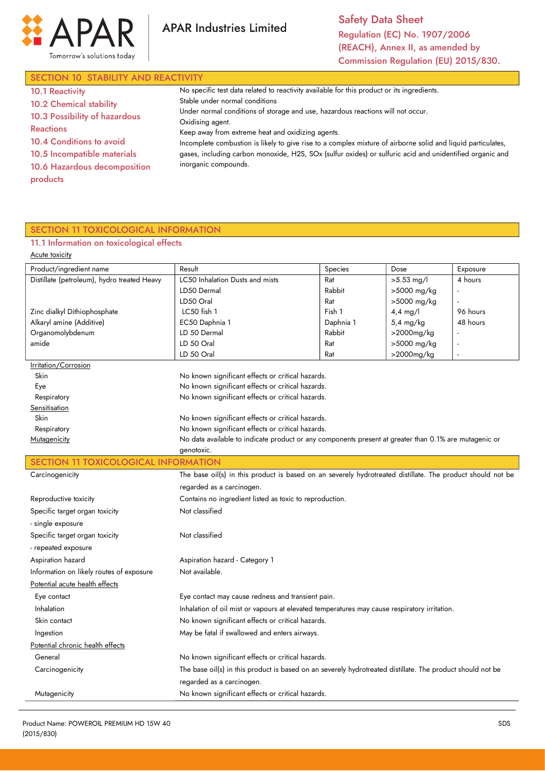



Safety Data Sheet Regulation (EC) No. 1907/2006 (REACH), Annex II, as amended by Commission Regulation (EU) 2015/830.

| SECTION 10 STABILITY AND REACTIVITY |                                                                                                              |  |  |  |
|-------------------------------------|--------------------------------------------------------------------------------------------------------------|--|--|--|
| <b>10.1 Reactivity</b>              | No specific test data related to reactivity available for this product or its ingredients.                   |  |  |  |
| <b>10.2 Chemical stability</b>      | Stable under normal conditions                                                                               |  |  |  |
|                                     | Under normal conditions of storage and use, hazardous reactions will not occur.                              |  |  |  |
| <b>Reactions</b>                    | Oxidising agent.                                                                                             |  |  |  |
| 10.4 Conditions to avoid            | Incomplete combustion is likely to give rise to a complex mixture of airborne solid and liquid particulates, |  |  |  |
| 10.5 Incompatible materials         | gases, including carbon monoxide, H2S, SOx (sulfur oxides) or sulfuric acid and unidentified organic and     |  |  |  |
| 10.6 Hazardous decomposition        | inorganic compounds.                                                                                         |  |  |  |
| products                            |                                                                                                              |  |  |  |
| 10.3 Possibility of hazardous       | Keep away from extreme heat and oxidizing agents.                                                            |  |  |  |

# SECTION 11 TOXICOLOGICAL INFORMATION

### 11.1 Information on toxicological effects

| Acute toxicity                              |                                                                                                            |           |                     |          |
|---------------------------------------------|------------------------------------------------------------------------------------------------------------|-----------|---------------------|----------|
| Product/ingredient name                     | Result                                                                                                     | Species   | Dose                | Exposure |
| Distillate (petroleum), hydro treated Heavy | LC50 Inhalation Dusts and mists                                                                            | Rat       | $>5.53$ mg/l        | 4 hours  |
|                                             | LD50 Dermal                                                                                                | Rabbit    | >5000 mg/kg         |          |
|                                             | LD50 Oral                                                                                                  | Rat       | >5000 mg/kg         |          |
| Zinc dialkyl Dithiophosphate                | LC50 fish 1                                                                                                | Fish 1    | $4,4$ mg/l          | 96 hours |
| Alkaryl amine (Additive)                    | EC50 Daphnia 1                                                                                             | Daphnia 1 | $5,4 \text{ mg/kg}$ | 48 hours |
| Organomolybdenum                            | LD 50 Dermal                                                                                               | Rabbit    | >2000mg/kg          |          |
| amide                                       | LD 50 Oral                                                                                                 | Rat       | >5000 mg/kg         |          |
|                                             | LD 50 Oral                                                                                                 | Rat       | >2000mg/kg          |          |
| Irritation/Corrosion                        |                                                                                                            |           |                     |          |
| Skin                                        | No known significant effects or critical hazards.<br>No known significant effects or critical hazards.     |           |                     |          |
| Eye                                         | No known significant effects or critical hazards.                                                          |           |                     |          |
| Respiratory<br>Sensitisation                |                                                                                                            |           |                     |          |
| Skin                                        | No known significant effects or critical hazards.                                                          |           |                     |          |
| Respiratory                                 | No known significant effects or critical hazards.                                                          |           |                     |          |
| Mutagenicity                                | No data available to indicate product or any components present at greater than 0.1% are mutagenic or      |           |                     |          |
|                                             | genotoxic.                                                                                                 |           |                     |          |
|                                             | SECTION 11 TOXICOLOGICAL INFORMATION                                                                       |           |                     |          |
| Carcinogenicity                             | The base oil(s) in this product is based on an severely hydrotreated distillate. The product should not be |           |                     |          |
|                                             | regarded as a carcinogen.                                                                                  |           |                     |          |
| Reproductive toxicity                       | Contains no ingredient listed as toxic to reproduction.                                                    |           |                     |          |
| Specific target organ toxicity              | Not classified                                                                                             |           |                     |          |
| - single exposure                           |                                                                                                            |           |                     |          |
| Specific target organ toxicity              | Not classified                                                                                             |           |                     |          |
| - repeated exposure                         |                                                                                                            |           |                     |          |
| Aspiration hazard                           | Aspiration hazard - Category 1                                                                             |           |                     |          |
| Information on likely routes of exposure    | Not available.                                                                                             |           |                     |          |
| Potential acute health effects              |                                                                                                            |           |                     |          |
| Eye contact                                 | Eye contact may cause redness and transient pain.                                                          |           |                     |          |
| Inhalation                                  | Inhalation of oil mist or vapours at elevated temperatures may cause respiratory irritation.               |           |                     |          |
| Skin contact                                | No known significant effects or critical hazards.                                                          |           |                     |          |
| Ingestion                                   | May be fatal if swallowed and enters airways.                                                              |           |                     |          |
| Potential chronic health effects            |                                                                                                            |           |                     |          |
| General                                     | No known significant effects or critical hazards.                                                          |           |                     |          |
| Carcinogenicity                             | The base oil(s) in this product is based on an severely hydrotreated distillate. The product should not be |           |                     |          |
|                                             | regarded as a carcinogen.                                                                                  |           |                     |          |
| Mutagenicity                                | No known significant effects or critical hazards.                                                          |           |                     |          |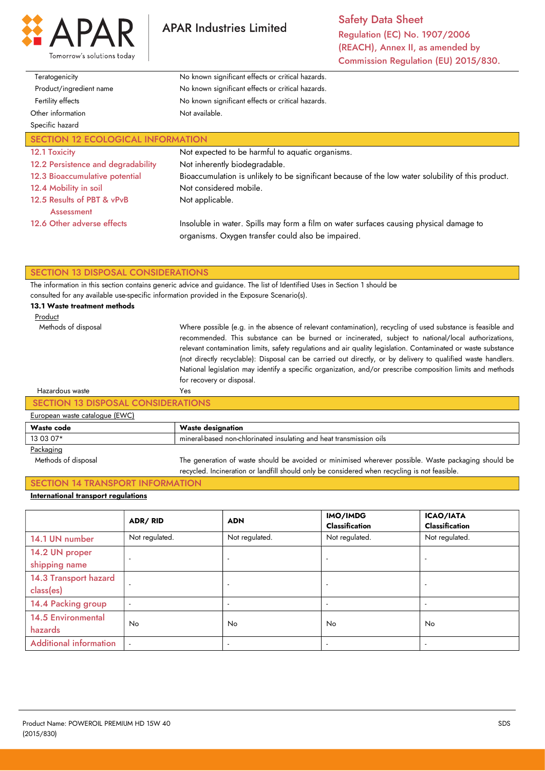

**APAR Industries Limited** 

Safety Data Sheet Regulation (EC) No. 1907/2006 (REACH), Annex II, as amended by Commission Regulation (EU) 2015/830.

| Teratogenicity                           | No known significant effects or critical hazards.                                                                                             |  |
|------------------------------------------|-----------------------------------------------------------------------------------------------------------------------------------------------|--|
| Product/ingredient name                  | No known significant effects or critical hazards.                                                                                             |  |
| Fertility effects                        | No known significant effects or critical hazards.                                                                                             |  |
| Other information                        | Not available.                                                                                                                                |  |
| Specific hazard                          |                                                                                                                                               |  |
| <b>SECTION 12 ECOLOGICAL INFORMATION</b> |                                                                                                                                               |  |
| 12.1 Toxicity                            | Not expected to be harmful to aquatic organisms.                                                                                              |  |
| 12.2 Persistence and degradability       | Not inherently biodegradable.                                                                                                                 |  |
| 12.3 Bioaccumulative potential           | Bioaccumulation is unlikely to be significant because of the low water solubility of this product.                                            |  |
| 12.4 Mobility in soil                    | Not considered mobile.                                                                                                                        |  |
| 12.5 Results of PBT & vPvB<br>Assessment | Not applicable.                                                                                                                               |  |
| 12.6 Other adverse effects               | Insoluble in water. Spills may form a film on water surfaces causing physical damage to<br>organisms. Oxygen transfer could also be impaired. |  |

#### SECTION 13 DISPOSAL CONSIDERATIONS

The information in this section contains generic advice and guidance. The list of Identified Uses in Section 1 should be consulted for any available use-specific information provided in the Exposure Scenario(s).

Yes

#### 13.1 Waste treatment methods

| Product             |  |
|---------------------|--|
| Methods of disposal |  |

Where possible (e.g. in the absence of relevant contamination), recycling of used substance is feasible and recommended. This substance can be burned or incinerated, subject to national/local authorizations, relevant contamination limits, safety regulations and air quality legislation. Contaminated or waste substance (not directly recyclable): Disposal can be carried out directly, or by delivery to qualified waste handlers. National legislation may identify a specific organization, and/or prescribe composition limits and methods for recovery or disposal.

#### Hazardous waste

#### SECTION 13 DISPOSAL CONSIDERATIONS

# European waste catalogue (EWC)

| $L$ aropoan masio caiarogao ( $L$ 110) |                                                                                                     |  |
|----------------------------------------|-----------------------------------------------------------------------------------------------------|--|
| Waste code                             | <b>Waste designation</b>                                                                            |  |
| 13 03 07*                              | mineral-based non-chlorinated insulating and heat transmission oils                                 |  |
| Packaging                              |                                                                                                     |  |
| Methods of disposal                    | The generation of waste should be avoided or minimised wherever possible. Waste packaging should be |  |
|                                        | recycled. Incineration or landfill should only be considered when recycling is not feasible.        |  |
|                                        |                                                                                                     |  |

# SECTION 14 TRANSPORT INFORMATION

#### International transport regulations

|                               | <b>ADR/RID</b> | <b>ADN</b>               | IMO/IMDG<br><b>Classification</b> | <b>ICAO/IATA</b><br><b>Classification</b> |
|-------------------------------|----------------|--------------------------|-----------------------------------|-------------------------------------------|
| 14.1 UN number                | Not regulated. | Not regulated.           | Not regulated.                    | Not regulated.                            |
| 14.2 UN proper                | $\sim$         | $\overline{\phantom{a}}$ | $\overline{a}$                    | $\overline{a}$                            |
| shipping name                 |                |                          |                                   |                                           |
| 14.3 Transport hazard         | $\sim$         |                          |                                   |                                           |
| class(es)                     |                |                          |                                   |                                           |
| 14.4 Packing group            | $\sim$         | $\overline{\phantom{a}}$ | $\overline{\phantom{a}}$          | $\overline{\phantom{a}}$                  |
| <b>14.5 Environmental</b>     | <b>No</b>      | <b>No</b>                | No                                | No.                                       |
| hazards                       |                |                          |                                   |                                           |
| <b>Additional information</b> | $\sim$         |                          |                                   |                                           |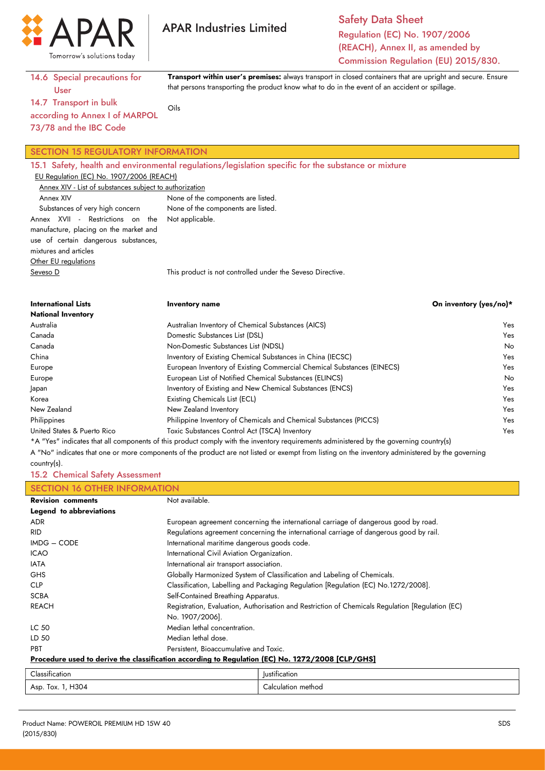

Safety Data Sheet Regulation (EC) No. 1907/2006 (REACH), Annex II, as amended by Commission Regulation (EU) 2015/830.

Transport within user's premises: always transport in closed containers that are upright and secure. Ensure

that persons transporting the product know what to do in the event of an accident or spillage.

14.6 Special precautions for User

14.7 Transport in bulk according to Annex I of MARPOL Oils

73/78 and the IBC Code

#### SECTION 15 REGULATORY INFORMATION

15.1 Safety, health and environmental regulations/legislation specific for the substance or mixture EU Regulation (EC) No. 1907/2006 (REACH) Annex XIV - List of substances subject to authorization Annex XIV Substances of very high concern Annex XVII - Restrictions on the manufacture, placing on the market and use of certain dangerous substances, mixtures and articles **Other EU regulations** None of the components are listed. None of the components are listed. Not applicable.

**APAR Industries Limited** 

Seveso D

This product is not controlled under the Seveso Directive.

| <b>International Lists</b><br><b>National Inventory</b> | Inventory name                                                                                                                         | On inventory (yes/no)* |
|---------------------------------------------------------|----------------------------------------------------------------------------------------------------------------------------------------|------------------------|
| Australia                                               | Australian Inventory of Chemical Substances (AICS)                                                                                     | Yes                    |
| Canada                                                  | Domestic Substances List (DSL)                                                                                                         | Yes                    |
| Canada                                                  | Non-Domestic Substances List (NDSL)                                                                                                    | No.                    |
| China                                                   | Inventory of Existing Chemical Substances in China (IECSC)                                                                             | Yes                    |
| Europe                                                  | European Inventory of Existing Commercial Chemical Substances (EINECS)                                                                 | Yes                    |
| Europe                                                  | European List of Notified Chemical Substances (ELINCS)                                                                                 | No.                    |
| apan                                                    | Inventory of Existing and New Chemical Substances (ENCS)                                                                               | Yes                    |
| Korea                                                   | Existing Chemicals List (ECL)                                                                                                          | <b>Yes</b>             |
| New Zealand                                             | New Zealand Inventory                                                                                                                  | Yes                    |
| Philippines                                             | Philippine Inventory of Chemicals and Chemical Substances (PICCS)                                                                      | Yes                    |
| United States & Puerto Rico                             | Toxic Substances Control Act (TSCA) Inventory                                                                                          | Yes                    |
|                                                         | *A "Yes" indicates that all components of this product comply with the inventory requirements administered by the governing country(s) |                        |

A "No" indicates that one or more components of the product are not listed or exempt from listing on the inventory administered by the governing country(s).

15.2 Chemical Safety Assessment

| <b>SECTION 16 OTHER INFORMATION</b> |                                                                                                  |  |
|-------------------------------------|--------------------------------------------------------------------------------------------------|--|
| <b>Revision comments</b>            | Not available.                                                                                   |  |
| Legend to abbreviations             |                                                                                                  |  |
| <b>ADR</b>                          | European agreement concerning the international carriage of dangerous good by road.              |  |
| <b>RID</b>                          | Regulations agreement concerning the international carriage of dangerous good by rail.           |  |
| IMDG - CODE                         | International maritime dangerous goods code.                                                     |  |
| <b>ICAO</b>                         | International Civil Aviation Organization.                                                       |  |
| <b>IATA</b>                         | International air transport association.                                                         |  |
| <b>GHS</b>                          | Globally Harmonized System of Classification and Labeling of Chemicals.                          |  |
| <b>CLP</b>                          | Classification, Labelling and Packaging Regulation [Regulation (EC) No.1272/2008].               |  |
| <b>SCBA</b>                         | Self-Contained Breathing Apparatus.                                                              |  |
| <b>REACH</b>                        | Registration, Evaluation, Authorisation and Restriction of Chemicals Regulation [Regulation (EC) |  |
|                                     | No. 1907/2006].                                                                                  |  |
| LC 50                               | Median lethal concentration.                                                                     |  |
| LD 50                               | Median lethal dose.                                                                              |  |
| <b>PBT</b>                          | Persistent, Bioaccumulative and Toxic.                                                           |  |
|                                     | Procedure used to derive the classification according to Regulation (EC) No. 1272/2008 [CLP/GHS] |  |
| والمستفاد والمستناد                 | المستخدمات فأقتصدنا                                                                              |  |

| $\sim$    | $\cdot$    |
|-----------|------------|
| .         | lustit     |
| $\sim$    | 'ification |
| ification |            |
| 1304      | ∽          |
| lox.      | methoc.    |
| Asp       | $\sim$     |
| .         | uation.    |
|           |            |